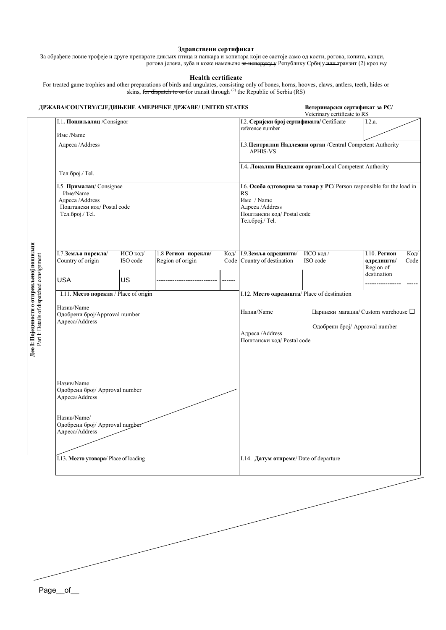### **Здравствени сертификат**

За обрађене ловне трофеје и друге препарате дивљих птица и папкара и копитара који се састоје само од кости, рогова, копита, канџи, рогова јелена, зуба и коже намењене <del>за испоруку у</del> Републику Србију <del>или т</del>ранзит (2) кроз њу

#### **Health certificate**

For treated game trophies and other preparations of birds and ungulates, consisting only of bones, horns, hooves, claws, antlers, teeth, hides or skins, for dispatch to or for transit through <sup>(2)</sup> the Republic of Serbia (RS)

| ДРЖАВА/COUNTRY/СЈЕДИЊЕНЕ АМЕРИЧКЕ ДРЖАВЕ/ UNITED STATES                    |                      |                                         |                                                                                            | Ветеринарски сертификат за РС/<br>Veterinary certificate to RS                |                      |                                                                                |              |
|----------------------------------------------------------------------------|----------------------|-----------------------------------------|--------------------------------------------------------------------------------------------|-------------------------------------------------------------------------------|----------------------|--------------------------------------------------------------------------------|--------------|
| I.1. Пошиљалац /Consignor                                                  |                      |                                         |                                                                                            | I.2. Серијски број сертификата/ Certificate<br>reference number               |                      | I.2.a.                                                                         |              |
| Име /Name                                                                  |                      |                                         |                                                                                            |                                                                               |                      |                                                                                |              |
| Адреса /Address                                                            |                      |                                         |                                                                                            | І.3. Централни Надлежни орган /Central Competent Authority<br><b>APHIS-VS</b> |                      |                                                                                |              |
| Тел.број./ Теl.                                                            |                      |                                         |                                                                                            | I.4. Локални Надлежни орган/Local Competent Authority                         |                      |                                                                                |              |
| І.5. Прималац/Consignee                                                    |                      |                                         | 1.6. Особа одговорна за товар у РС/ Person responsible for the load in                     |                                                                               |                      |                                                                                |              |
| Име/Name<br>Адреса /Address<br>Поштански код/Postal code<br>Тел.број./Tel. |                      |                                         | <b>RS</b><br>Име / Name<br>Адреса /Address<br>Поштански код/Postal code<br>Тел.број./ Tel. |                                                                               |                      |                                                                                |              |
| I.7. Земља порекла/<br>Country of origin                                   | ИСО код/<br>ISO code | 1.8 Регион порекла/<br>Region of origin | Code                                                                                       | Код/ 1.9.3емља одредишта/<br>Country of destination                           | ИСО код/<br>ISO code | <b>I.10. Регион</b><br>одредишта/                                              | Код/<br>Code |
| <b>USA</b>                                                                 | US                   |                                         | ------                                                                                     |                                                                               |                      | Region of<br>destination                                                       | -----        |
| I.11. Место порекла / Place of origin                                      |                      |                                         |                                                                                            | I.12. Место одредишта/ Place of destination                                   |                      |                                                                                |              |
| Назив/Name<br>Одобрени број/Approval number<br>Адреса/Address              |                      |                                         |                                                                                            | Назив/Name<br>Адреса /Address<br>Поштански код/Postal code                    |                      | Царински магацин/ Custom warehouse $\square$<br>Одобрени број/ Approval number |              |
| Назив/Name<br>Одобрени број/ Approval number<br>Адреса/Address             |                      |                                         |                                                                                            |                                                                               |                      |                                                                                |              |
| Назив/Name/<br>Одобрени број/ Approval number<br>Адреса/Address            |                      |                                         |                                                                                            |                                                                               |                      |                                                                                |              |
|                                                                            |                      |                                         |                                                                                            |                                                                               |                      |                                                                                |              |

Page\_\_of\_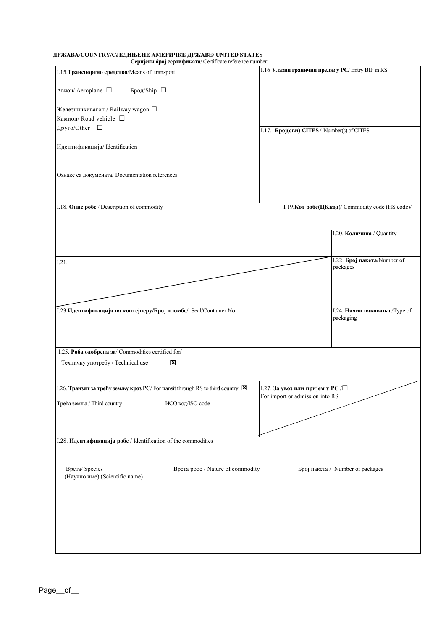## **ДРЖАВА/COUNTRY/СЈЕДИЊЕНЕ AМЕРИЧКЕ ДРЖАВЕ/ UNITED STATES**

| Серијски број сертификата/ Certificate reference number:                          |                                  |                                                  |                                                  |
|-----------------------------------------------------------------------------------|----------------------------------|--------------------------------------------------|--------------------------------------------------|
| I.15. Транспортно средство/Means of transport                                     |                                  | I.16 Улазни гранични прелаз у PC/Entry BIP in RS |                                                  |
| Авион/ Aeroplane $\ \Box$<br>Брод/Ship $\Box$                                     |                                  |                                                  |                                                  |
| Железничкивагон / Railway wagon $\square$                                         |                                  |                                                  |                                                  |
| Камион/Road vehicle $\Box$                                                        |                                  |                                                  |                                                  |
| Друго/Other □                                                                     |                                  | I.17. Број(еви) CITES / Number(s) of CITES       |                                                  |
| Идентификација/Identification                                                     |                                  |                                                  |                                                  |
| Ознаке са докумената/ Documentation references                                    |                                  |                                                  |                                                  |
| I.18. Опис робе / Description of commodity                                        |                                  |                                                  | I.19. Код робе(ЦКкод)/ Commodity code (HS code)/ |
|                                                                                   |                                  |                                                  |                                                  |
|                                                                                   |                                  |                                                  | I.20. Количина / Quantity                        |
| I.21.                                                                             |                                  |                                                  | I.22. Број пакета/Number of                      |
|                                                                                   |                                  |                                                  | packages                                         |
|                                                                                   |                                  |                                                  |                                                  |
|                                                                                   |                                  |                                                  |                                                  |
| 1.23. Идентификација на контејнеру/Број пломбе/ Seal/Container No                 |                                  |                                                  | packaging                                        |
| I.25. Роба одобрена за/ Commodities certified for/                                |                                  |                                                  |                                                  |
| Техничку употребу / Technical use                                                 | $\overline{\mathbf{x}}$          |                                                  | I.24. Начин паковања / Type of                   |
| I.26. Транзит за трећу земљу кроз РС/ For transit through RS to third country [Х] |                                  | 1.27. За увоз или пријем у РС /□                 |                                                  |
| Трећа земља / Third country                                                       | ИСО код/ISO code                 | For import or admission into RS                  |                                                  |
|                                                                                   |                                  |                                                  |                                                  |
| І.28. Идентификација робе / Identification of the commodities                     |                                  |                                                  |                                                  |
|                                                                                   |                                  |                                                  |                                                  |
| Bpcтa/ Species<br>(Научно име) (Scientific name)                                  | Врста робе / Nature of commodity |                                                  | Број пакета / Number of packages                 |
|                                                                                   |                                  |                                                  |                                                  |
|                                                                                   |                                  |                                                  |                                                  |
|                                                                                   |                                  |                                                  |                                                  |
|                                                                                   |                                  |                                                  |                                                  |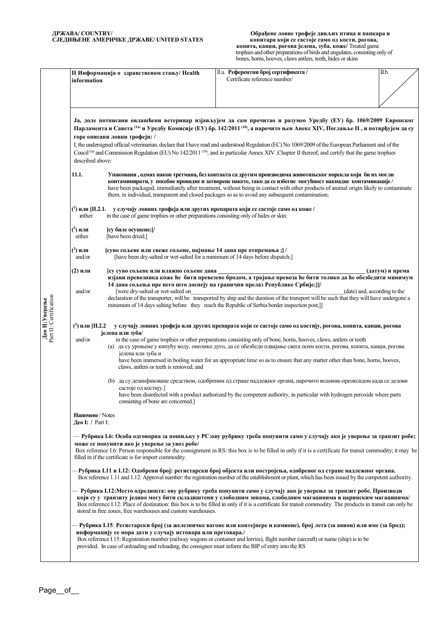|                                         | information                                           | II Информација о здравственом стању/ Health                                                                                                                                                                                                                                                                                                                                                                                                                                                                                                                                                                                                | II.a. Референтни број сертификата /<br>Certificate reference number/                                                                                                                                                                                                                                                                                                                                                                                                                                                                                                                                                                                                                                                                               | II.b.                                           |
|-----------------------------------------|-------------------------------------------------------|--------------------------------------------------------------------------------------------------------------------------------------------------------------------------------------------------------------------------------------------------------------------------------------------------------------------------------------------------------------------------------------------------------------------------------------------------------------------------------------------------------------------------------------------------------------------------------------------------------------------------------------------|----------------------------------------------------------------------------------------------------------------------------------------------------------------------------------------------------------------------------------------------------------------------------------------------------------------------------------------------------------------------------------------------------------------------------------------------------------------------------------------------------------------------------------------------------------------------------------------------------------------------------------------------------------------------------------------------------------------------------------------------------|-------------------------------------------------|
|                                         | described above:                                      | Ја, доле потписани овлашћени ветеринар изјављујем да сам прочитао и разумео Уредбу (EУ) бр. 1069/2009 Европског<br>Парламента и Савета <sup>(1а)</sup> и Уредбу Комисије (ЕУ) бр. 142/2011 <sup>(16</sup> ), а нарочито њен Анекс XIV, Поглавље II, и потврђујем да су<br>горе описани ловни трофеји: /<br>I, the undersigned official veterinarian, declare that I have read and understood Regulation (EC) No 1069/2009 of the European Parliament and of the<br>Coucil <sup>(la)</sup> and Commission Regulation (EU) No 142/2011 <sup>(lb)</sup> , and in particular Annex XIV, Chapter II thereof, and certify that the game trophies |                                                                                                                                                                                                                                                                                                                                                                                                                                                                                                                                                                                                                                                                                                                                                    |                                                 |
|                                         | 11.1.                                                 |                                                                                                                                                                                                                                                                                                                                                                                                                                                                                                                                                                                                                                            | Упаковани , одмах након третмана, без контакта са другим производима животињског порекла који би их могли<br>контаминирати, у посебне провидне и затворене пакете, тако да се избегне могућност накнадне контаминације /<br>have been packaged, immediately after treatment, without being in contact with other products of animal origin likely to contaminate<br>them, in individual, transparent and closed packages so as to avoid any subsequent contamination;                                                                                                                                                                                                                                                                              |                                                 |
|                                         | either                                                | $(2)$ или [II.2.1. у случају ловних трофеја или других препарата који се састоје само од коже /<br>in the case of game trophies or other preparations consisting only of hides or skin:                                                                                                                                                                                                                                                                                                                                                                                                                                                    |                                                                                                                                                                                                                                                                                                                                                                                                                                                                                                                                                                                                                                                                                                                                                    |                                                 |
|                                         | $(2)$ или<br>either                                   | [су биле осушене;]/<br>[have been dried;]                                                                                                                                                                                                                                                                                                                                                                                                                                                                                                                                                                                                  |                                                                                                                                                                                                                                                                                                                                                                                                                                                                                                                                                                                                                                                                                                                                                    |                                                 |
| Part II: Certification<br>Део П:Уверење | ( <sup>2</sup> ) или<br>and/or                        | [суво сољене или свеже сољене, најмање 14 дана пре отпремања ;] /<br>[have been dry-salted or wet-salted for a minimum of 14 days before dispatch;]                                                                                                                                                                                                                                                                                                                                                                                                                                                                                        |                                                                                                                                                                                                                                                                                                                                                                                                                                                                                                                                                                                                                                                                                                                                                    |                                                 |
|                                         | (2) или<br>and/or                                     | су суво сољене или влажно сољене дана<br>[were dry-salted or wet-salted on                                                                                                                                                                                                                                                                                                                                                                                                                                                                                                                                                                 | изјави превозника коже ће бити превезене бродом, а трајање превоза ће бити толико да ће обезбедити минимум<br>14 дана сољења пре него што доспеју на гранични прелаз Републике Србије;]]/<br>declaration of the transporter, will be transported by ship and the duration of the transport will be such that they will have undergone a<br>minimum of 14 days salting before they reach the Republic of Serbia border inspection post;]                                                                                                                                                                                                                                                                                                            | (датум) и према<br>(date) and, according to the |
|                                         | $(2)$ или [II.2.2]<br>and/or                          | јелена или зуба/<br>јелена или зуба и<br>claws, antlers or teeth is removed; and<br>састоје од костију.]                                                                                                                                                                                                                                                                                                                                                                                                                                                                                                                                   | у случају ловних трофеја или других препарата који се састоје само од костију, рогова, копита, канџи, рогова<br>in the case of game trophies or other preparations consisting only of bone, horns, hooves, claws, antlers or teeth<br>(а) да су уроњене у кипућу воду, онолико дуго, да се обезбеди одвајање света осим кости, рогова, копита, канџи, рогова<br>have been immersed in boiling water for an appropriate time so as to ensure that any matter other than bone, homes, hooves,<br>(b) да су дезинфиковане средством, одобреним од стране надлежног органа, нарочито водоник-преоксидом када се делови<br>have been disinfected with a product authorized by the competent authority, in particular with hydrogen peroxide where parts |                                                 |
|                                         | Напомене / Notes<br>$\text{Geo I: } / \text{Part I:}$ | consisting of bone are concerned.                                                                                                                                                                                                                                                                                                                                                                                                                                                                                                                                                                                                          |                                                                                                                                                                                                                                                                                                                                                                                                                                                                                                                                                                                                                                                                                                                                                    |                                                 |
|                                         |                                                       | — Рубрика І.6: Особа одговорна за пошиљку у РС:ову рубрику треба попунити само у случају ако је уверење за транзит робе;<br>може се попунити ако је уверење за увоз робе/<br>Box reference I.6: Person responsible for the consignment in RS: this box is to be filled in only if it is a certificate for transit commodity; it may be<br>filled in if the certificate is for import commodity.                                                                                                                                                                                                                                            |                                                                                                                                                                                                                                                                                                                                                                                                                                                                                                                                                                                                                                                                                                                                                    |                                                 |
|                                         |                                                       | -Рубрика I.11 и I.12: Одобрени број: регистарски број објекта или постројења, одобреног од стране надлежног органа.<br>Box reference 1.11 and 1.12: Approval number: the registration number of the establishment or plant, which has been issued by the competent authority.                                                                                                                                                                                                                                                                                                                                                              |                                                                                                                                                                                                                                                                                                                                                                                                                                                                                                                                                                                                                                                                                                                                                    |                                                 |
|                                         |                                                       | Рубрика I.12: Место одредишта: ову рубрику треба попунити само у случају ако је уверење за транзит робе. Производи<br>који су у транзиту једино могу бити складиштени у слободним зонама, слободним магацинима и царинским магацинима/<br>Box reference I.12: Place of destination: this box is to be filled in only if it is a certificate for transit commodity. The products in transit can only be<br>stored in free zones, free warehouses and custom warehouses.                                                                                                                                                                     |                                                                                                                                                                                                                                                                                                                                                                                                                                                                                                                                                                                                                                                                                                                                                    |                                                 |
|                                         |                                                       | - Рубрика I.15: Регистарски број (за железничке вагоне или контејнере и камионе), број лета (за авион) или име (за брод);<br>информацију се мора дати у случају истовара или претовара./<br>Box reference I.15: Registration number (railway wagons or container and lorries), flight number (aircraft) or name (ship) is to be<br>provided. In case of unloading and reloading, the consignor must inform the BIP of entry into the RS                                                                                                                                                                                                    |                                                                                                                                                                                                                                                                                                                                                                                                                                                                                                                                                                                                                                                                                                                                                    |                                                 |